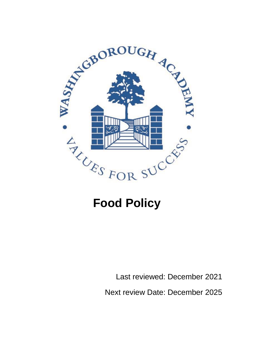

Last reviewed: December 2021

Next review Date: December 2025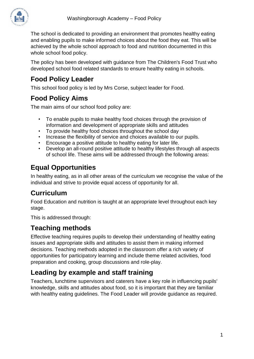

The school is dedicated to providing an environment that promotes healthy eating and enabling pupils to make informed choices about the food they eat. This will be achieved by the whole school approach to food and nutrition documented in this whole school food policy.

The policy has been developed with guidance from The Children's Food Trust who developed school food related standards to ensure healthy eating in schools.

# **Food Policy Leader**

This school food policy is led by Mrs Corse, subject leader for Food.

# **Food Policy Aims**

The main aims of our school food policy are:

- To enable pupils to make healthy food choices through the provision of information and development of appropriate skills and attitudes
- To provide healthy food choices throughout the school day
- Increase the flexibility of service and choices available to our pupils.
- Encourage a positive attitude to healthy eating for later life.
- Develop an all-round positive attitude to healthy lifestyles through all aspects of school life. These aims will be addressed through the following areas:

# **Equal Opportunities**

In healthy eating, as in all other areas of the curriculum we recognise the value of the individual and strive to provide equal access of opportunity for all.

# **Curriculum**

Food Education and nutrition is taught at an appropriate level throughout each key stage.

This is addressed through:

# **Teaching methods**

Effective teaching requires pupils to develop their understanding of healthy eating issues and appropriate skills and attitudes to assist them in making informed decisions. Teaching methods adopted in the classroom offer a rich variety of opportunities for participatory learning and include theme related activities, food preparation and cooking, group discussions and role-play.

# **Leading by example and staff training**

Teachers, lunchtime supervisors and caterers have a key role in influencing pupils' knowledge, skills and attitudes about food, so it is important that they are familiar with healthy eating guidelines. The Food Leader will provide guidance as required.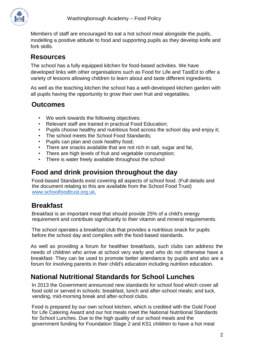

Members of staff are encouraged Ito eat a hot school meal alongside the pupils, modelling a positive attitude to food and supporting pupils as they develop knife and fork skills.

## **Resources**

The school has a fully equipped kitchen for food-based activities. We have developed links with other organisations such as Food for Life and TastEd to offer a variety of lessons allowing children to learn about and taste different ingredients.

As well as the teaching kitchen the school has a well-developed kitchen garden with all pupils having the opportunity to grow their own fruit and vegetables.

## **Outcomes**

- We work towards the following objectives:
- Relevant staff are trained in practical Food Education;
- Pupils choose healthy and nutritious food across the school day and enjoy it;
- The school meets the School Food Standards;
- Pupils can plan and cook healthy food;
- There are snacks available that are not rich in salt, sugar and fat,
- There are high levels of fruit and vegetable consumption;
- There is water freely available throughout the school

## **Food and drink provision throughout the day**

Food-based Standards exist covering all aspects of school food. (Full details and the document relating to this are available from the School Food Trust) [www.schoolfoodtrust.org.uk.](http://www.schoolfoodtrust.org.uk/)

## **Breakfast**

Breakfast is an important meal that should provide 25% of a child's energy requirement and contribute significantly to their vitamin and mineral requirements.

The school operates a breakfast club that provides a nutritious snack for pupils before the school day and complies with the food-based standards.

As well as providing a forum for healthier breakfasts, such clubs can address the needs of children who arrive at school very early and who do not otherwise have a breakfast- They can be used to promote better attendance by pupils and also are a forum for involving parents in their child's education including nutrition education.

## **National Nutritional Standards for School Lunches**

In 2013 the Government announced new standards for school food which cover all food sold or served in schools: breakfast, lunch and after-school meals; and tuck, vending, mid-morning break and after-school clubs.

Food is prepared by our own school kitchen, which is credited with the Gold Food for Life Catering Award and our hot meals meet the National Nutritional Standards for School Lunches. Due to the high quality of our school meals and the government funding for Foundation Stage 2 and KS1 children to have a hot meal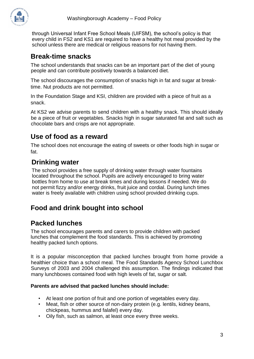

through Universal Infant Free School Meals (UIFSM), the school's policy is that every child in FS2 and KS1 are required to have a healthy hot meal provided by the school unless there are medical or religious reasons for not having them.

## **Break-time snacks**

The school understands that snacks can be an important part of the diet of young people and can contribute positively towards a balanced diet.

The school discourages the consumption of snacks high in fat and sugar at breaktime. Nut products are not permitted.

In the Foundation Stage and KSI, children are provided with a piece of fruit as a snack.

At KS2 we advise parents to send children with a healthy snack. This should ideally be a piece of fruit or vegetables. Snacks high in sugar saturated fat and salt such as chocolate bars and crisps are not appropriate.

# **Use of food as a reward**

The school does not encourage the eating of sweets or other foods high in sugar or fat.

# **Drinking water**

The school provides a free supply of drinking water through water fountains located throughout the school. Pupils are actively encouraged to bring water bottles from home to use at break times and during lessons if needed. We do not permit fizzy and/or energy drinks, fruit juice and cordial. During lunch times water is freely available with children using school provided drinking cups.

# **Food and drink bought into school**

# **Packed lunches**

The school encourages parents and carers to provide children with packed lunches that complement the food standards. This is achieved by promoting healthy packed lunch options.

It is a popular misconception that packed lunches brought from home provide a healthier choice than a school meal. The Food Standards Agency School Lunchbox Surveys of 2003 and 2004 challenged this assumption. The findings indicated that many lunchboxes contained food with high levels of fat, sugar or salt.

#### **Parents are advised that packed lunches should include:**

- At least one portion of fruit and one portion of vegetables every day.
- Meat, fish or other source of non-dairy protein (e.g. lentils, kidney beans, chickpeas, hummus and falafel) every day.
- Oily fish, such as salmon, at least once every three weeks.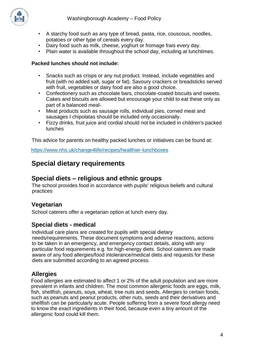

- A starchy food such as any type of bread, pasta, rice, couscous, noodles, potatoes or other type of cereals every day.
- Dairy food such as milk, cheese, yoghurt or fromage frais every day.
- Plain water is available throughout the school day, including at lunchtimes.

#### **Packed lunches should not include:**

- Snacks such as crisps or any nut product. Instead, include vegetables and fruit (with no added salt, sugar or fat). Savoury crackers or breadsticks served with fruit, vegetables or dairy food are also a good choice.
- Confectionery such as chocolate bars, chocolate-coated biscuits and sweets. Cakes and biscuits are allowed but encourage your child to eat these only as part of a balanced meal-
- Meat products such as sausage rolls, individual pies, corned meat and sausages I chipolatas should be included only occasionally.
- Fizzy drinks, fruit juice and cordial should not be included in children's packed lunches

This advice for parents on healthy packed lunches or initiatives can be found at:

<https://www.nhs.uk/change4life/recipes/healthier-lunchboxes>

## **Special dietary requirements**

#### **Special diets – religious and ethnic groups**

The school provides food in accordance with pupils' religious beliefs and cultural practices

### **Vegetarian**

School caterers offer a vegetarian option at lunch every day.

#### **Special diets - medical**

Individual care plans are created for pupils with special dietary needs/requirements. These document symptoms and adverse reactions, actions to be taken in an emergency, and emergency contact details, along with any particular food requirements e.g. for high-energy diets. School caterers are made aware of any food allergies/food intolerance/medical diets and requests for these diets are submitted according to an agreed process.

#### **Allergies**

Food allergies are estimated to affect 1 or 2% of the adult population and are more prevalent in infants and children. The most common allergenic foods are eggs, milk, fish, shellfish, peanuts, soya, wheat, tree nuts and seeds. Allergies to certain foods, such as peanuts and peanut products, other nuts, seeds and their derivatives and shellfish can be particularly acute. People suffering from a severe food allergy need to know the exact ingredients in their food, because even a tiny amount of the allergenic food could kill them.